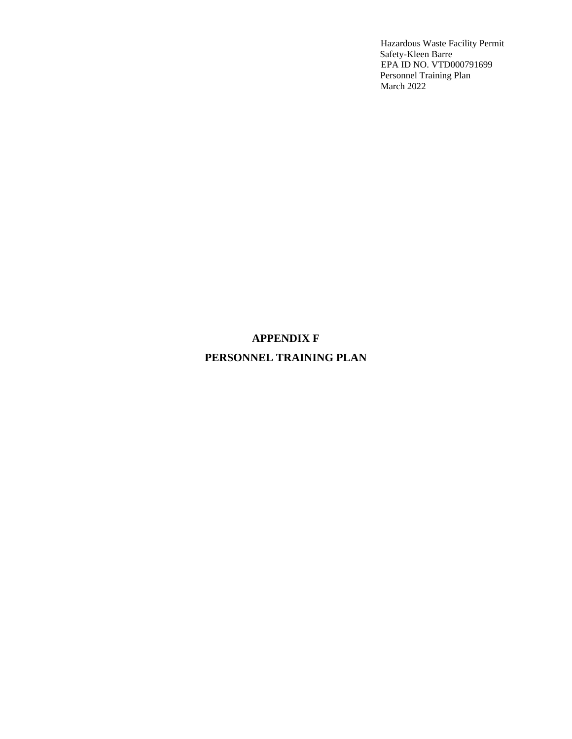## **APPENDIX F**

## **PERSONNEL TRAINING PLAN**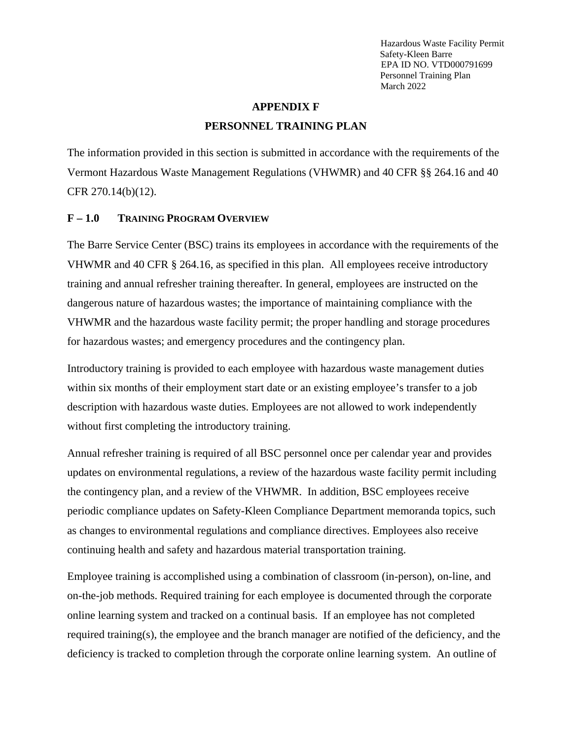#### **APPENDIX F**

#### **PERSONNEL TRAINING PLAN**

The information provided in this section is submitted in accordance with the requirements of the Vermont Hazardous Waste Management Regulations (VHWMR) and 40 CFR §§ 264.16 and 40 CFR 270.14(b)(12).

#### **F – 1.0 TRAINING PROGRAM OVERVIEW**

The Barre Service Center (BSC) trains its employees in accordance with the requirements of the VHWMR and 40 CFR § 264.16, as specified in this plan. All employees receive introductory training and annual refresher training thereafter. In general, employees are instructed on the dangerous nature of hazardous wastes; the importance of maintaining compliance with the VHWMR and the hazardous waste facility permit; the proper handling and storage procedures for hazardous wastes; and emergency procedures and the contingency plan.

Introductory training is provided to each employee with hazardous waste management duties within six months of their employment start date or an existing employee's transfer to a job description with hazardous waste duties. Employees are not allowed to work independently without first completing the introductory training.

Annual refresher training is required of all BSC personnel once per calendar year and provides updates on environmental regulations, a review of the hazardous waste facility permit including the contingency plan, and a review of the VHWMR. In addition, BSC employees receive periodic compliance updates on Safety-Kleen Compliance Department memoranda topics, such as changes to environmental regulations and compliance directives. Employees also receive continuing health and safety and hazardous material transportation training.

Employee training is accomplished using a combination of classroom (in-person), on-line, and on-the-job methods. Required training for each employee is documented through the corporate online learning system and tracked on a continual basis. If an employee has not completed required training(s), the employee and the branch manager are notified of the deficiency, and the deficiency is tracked to completion through the corporate online learning system. An outline of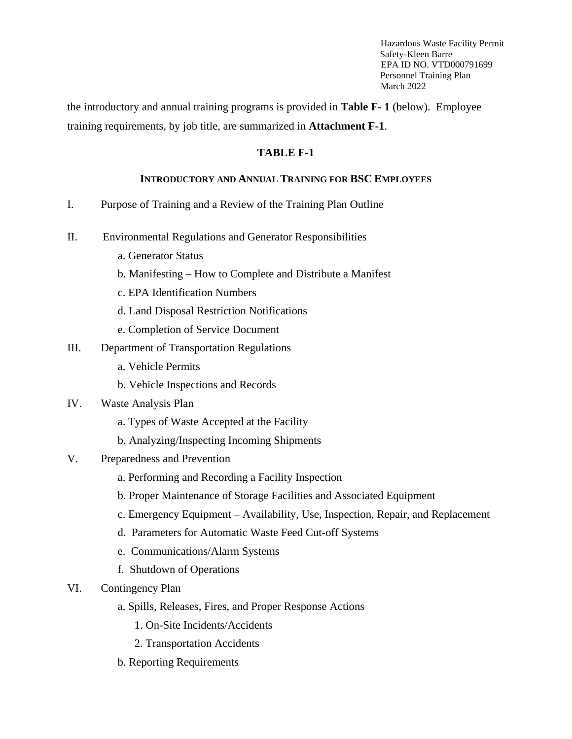the introductory and annual training programs is provided in **Table F- 1** (below). Employee training requirements, by job title, are summarized in **Attachment F-1**.

#### **TABLE F-1**

#### **INTRODUCTORY AND ANNUAL TRAINING FOR BSC EMPLOYEES**

- I. Purpose of Training and a Review of the Training Plan Outline
- II. Environmental Regulations and Generator Responsibilities
	- a. Generator Status
	- b. Manifesting How to Complete and Distribute a Manifest
	- c. EPA Identification Numbers
	- d. Land Disposal Restriction Notifications
	- e. Completion of Service Document
- III. Department of Transportation Regulations
	- a. Vehicle Permits
	- b. Vehicle Inspections and Records
- IV. Waste Analysis Plan
	- a. Types of Waste Accepted at the Facility
	- b. Analyzing/Inspecting Incoming Shipments
- V. Preparedness and Prevention
	- a. Performing and Recording a Facility Inspection
	- b. Proper Maintenance of Storage Facilities and Associated Equipment
	- c. Emergency Equipment Availability, Use, Inspection, Repair, and Replacement
	- d. Parameters for Automatic Waste Feed Cut-off Systems
	- e. Communications/Alarm Systems
	- f. Shutdown of Operations
- VI. Contingency Plan
	- a. Spills, Releases, Fires, and Proper Response Actions
		- 1. On-Site Incidents/Accidents
		- 2. Transportation Accidents
	- b. Reporting Requirements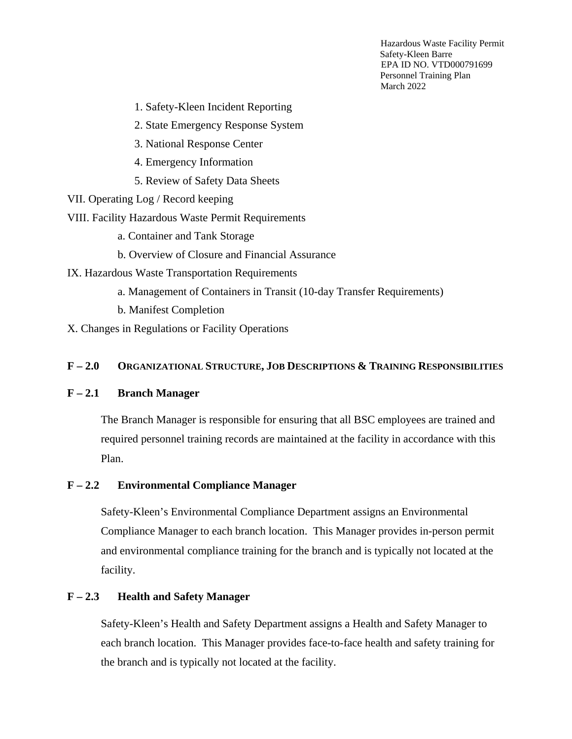1. Safety-Kleen Incident Reporting

2. State Emergency Response System

- 3. National Response Center
- 4. Emergency Information
- 5. Review of Safety Data Sheets

VII. Operating Log / Record keeping

VIII. Facility Hazardous Waste Permit Requirements

- a. Container and Tank Storage
- b. Overview of Closure and Financial Assurance
- IX. Hazardous Waste Transportation Requirements
	- a. Management of Containers in Transit (10-day Transfer Requirements)
	- b. Manifest Completion

X. Changes in Regulations or Facility Operations

#### **F – 2.0 ORGANIZATIONAL STRUCTURE, JOB DESCRIPTIONS & TRAINING RESPONSIBILITIES**

#### **F – 2.1 Branch Manager**

The Branch Manager is responsible for ensuring that all BSC employees are trained and required personnel training records are maintained at the facility in accordance with this Plan.

#### **F – 2.2 Environmental Compliance Manager**

Safety-Kleen's Environmental Compliance Department assigns an Environmental Compliance Manager to each branch location. This Manager provides in-person permit and environmental compliance training for the branch and is typically not located at the facility.

### **F – 2.3 Health and Safety Manager**

Safety-Kleen's Health and Safety Department assigns a Health and Safety Manager to each branch location. This Manager provides face-to-face health and safety training for the branch and is typically not located at the facility.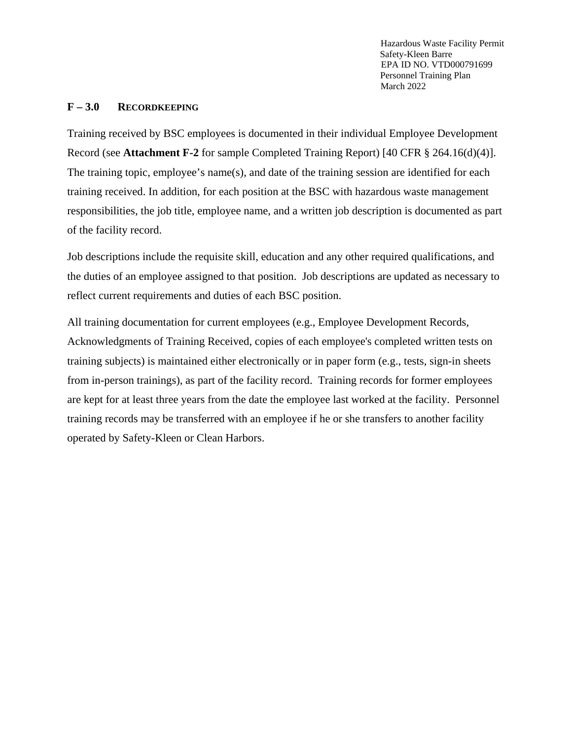#### **F – 3.0 RECORDKEEPING**

Training received by BSC employees is documented in their individual Employee Development Record (see **Attachment F-2** for sample Completed Training Report) [40 CFR § 264.16(d)(4)]. The training topic, employee's name(s), and date of the training session are identified for each training received. In addition, for each position at the BSC with hazardous waste management responsibilities, the job title, employee name, and a written job description is documented as part of the facility record.

Job descriptions include the requisite skill, education and any other required qualifications, and the duties of an employee assigned to that position. Job descriptions are updated as necessary to reflect current requirements and duties of each BSC position.

All training documentation for current employees (e.g., Employee Development Records, Acknowledgments of Training Received, copies of each employee's completed written tests on training subjects) is maintained either electronically or in paper form (e.g., tests, sign-in sheets from in-person trainings), as part of the facility record. Training records for former employees are kept for at least three years from the date the employee last worked at the facility. Personnel training records may be transferred with an employee if he or she transfers to another facility operated by Safety-Kleen or Clean Harbors.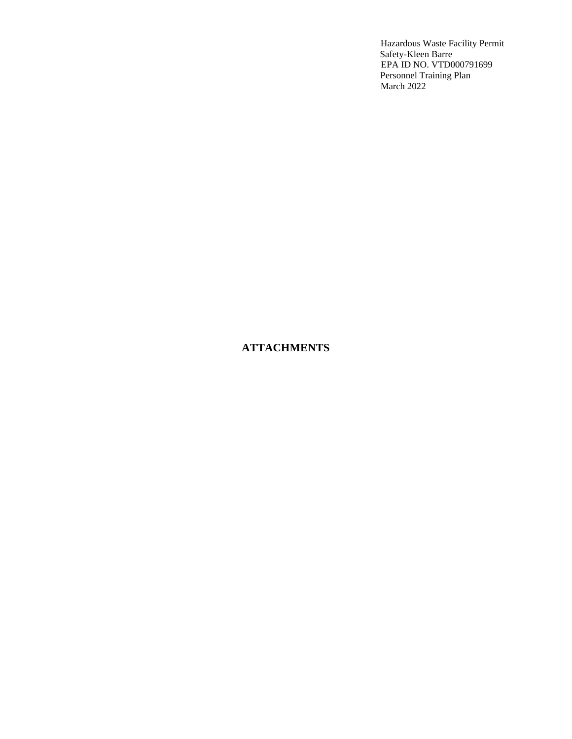## **ATTACHMENTS**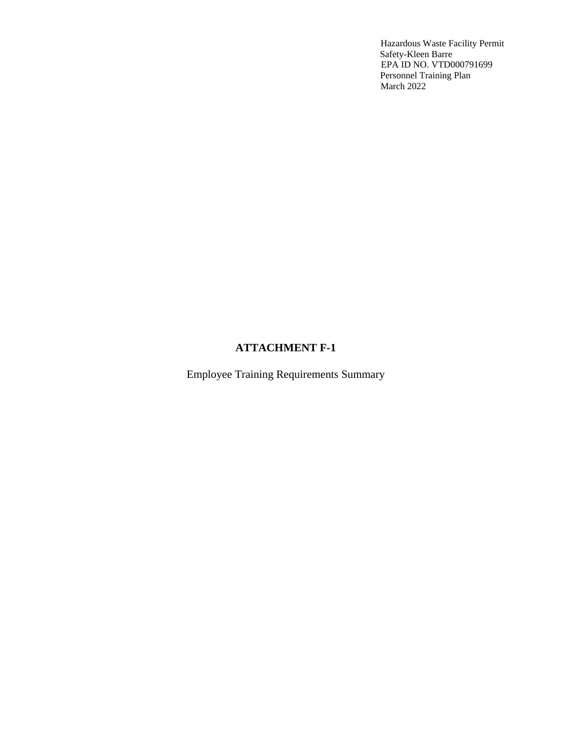### **ATTACHMENT F-1**

Employee Training Requirements Summary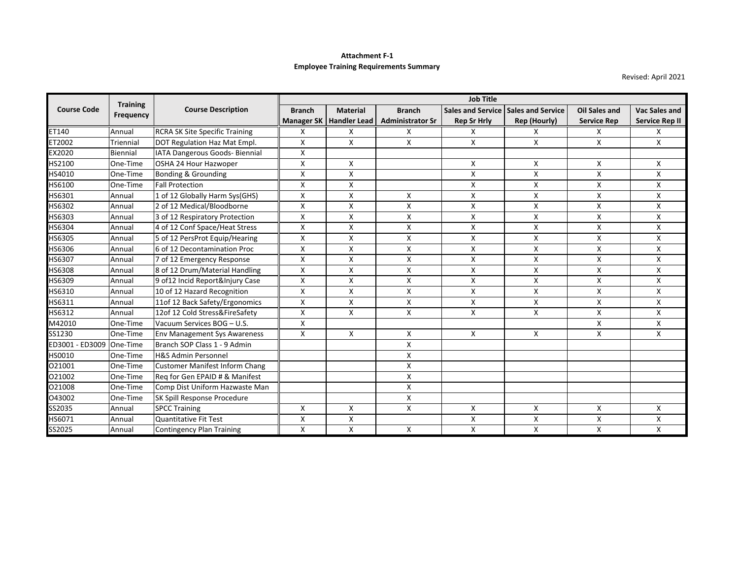#### **Attachment F‐1 Employee Training Requirements Summary**

Revised: April 2021

|                          | <b>Training</b><br><b>Frequency</b> | <b>Course Description</b>             | <b>Job Title</b> |                           |                         |                          |                          |                      |                       |
|--------------------------|-------------------------------------|---------------------------------------|------------------|---------------------------|-------------------------|--------------------------|--------------------------|----------------------|-----------------------|
| <b>Course Code</b>       |                                     |                                       | <b>Branch</b>    | <b>Material</b>           | <b>Branch</b>           | <b>Sales and Service</b> | <b>Sales and Service</b> | <b>Oil Sales and</b> | Vac Sales and         |
|                          |                                     |                                       |                  | Manager SK   Handler Lead | <b>Administrator Sr</b> | <b>Rep Sr Hrly</b>       | <b>Rep (Hourly)</b>      | <b>Service Rep</b>   | <b>Service Rep II</b> |
| ET140                    | Annual                              | <b>RCRA SK Site Specific Training</b> | X                | X                         | X                       | X                        | X                        | X                    | X                     |
| ET2002                   | Triennial                           | DOT Regulation Haz Mat Empl.          | Χ                | X                         | X                       | X                        | X                        | X                    | X                     |
| EX2020                   | Biennial                            | IATA Dangerous Goods- Biennial        | X                |                           |                         |                          |                          |                      |                       |
| HS2100                   | One-Time                            | OSHA 24 Hour Hazwoper                 | X                | X                         |                         | X                        | X                        | X                    | X                     |
| HS4010                   | One-Time                            | Bonding & Grounding                   | X                | $\mathsf{x}$              |                         | $\mathsf{x}$             | X                        | X                    | X                     |
| HS6100                   | One-Time                            | <b>Fall Protection</b>                | X                | X                         |                         | Χ                        | x                        | Χ                    | Χ                     |
| HS6301                   | Annual                              | 1 of 12 Globally Harm Sys(GHS)        | X                | X                         | X                       | X                        | X                        | X                    | X                     |
| HS6302                   | Annual                              | 2 of 12 Medical/Bloodborne            | X                | X                         | X                       | X                        | Χ                        | x                    | Χ                     |
| HS6303                   | Annual                              | 3 of 12 Respiratory Protection        | X                | X                         | X                       | X                        | X                        | X                    | Χ                     |
| HS6304                   | Annual                              | 4 of 12 Conf Space/Heat Stress        | X                | X                         | X                       | X                        | X                        | X                    | X                     |
| HS6305                   | Annual                              | 5 of 12 PersProt Equip/Hearing        | X                | X                         | X                       | $\times$                 | X                        | X                    | X                     |
| HS6306                   | Annual                              | 6 of 12 Decontamination Proc          | X                | X                         | X                       | X                        | X                        | X                    | Χ                     |
| HS6307                   | Annual                              | 7 of 12 Emergency Response            | X                | X                         | X                       | X                        | Χ                        | Χ                    | X                     |
| <b>HS6308</b>            | Annual                              | 8 of 12 Drum/Material Handling        | X                | X                         | X                       | $\times$                 | X                        | X                    | X                     |
| HS6309                   | Annual                              | 9 of 12 Incid Report&Injury Case      | X                | Χ                         | X                       | Χ                        | X                        | x                    | x                     |
| HS6310                   | Annual                              | 10 of 12 Hazard Recognition           | X                | X                         | X                       | X                        | X                        | X                    | Χ                     |
| HS6311                   | Annual                              | 11of 12 Back Safety/Ergonomics        | X                | X                         | X                       | $\times$                 | X                        | X                    | X                     |
| HS6312                   | Annual                              | 12of 12 Cold Stress&FireSafety        | X                | X                         | X                       | X                        | X                        | X                    | X                     |
| M42010                   | One-Time                            | Vacuum Services BOG - U.S.            | X                |                           |                         |                          |                          | X                    | Χ                     |
| SS1230                   | One-Time                            | <b>Env Management Sys Awareness</b>   | X                | X                         | X                       | X                        | X                        | X                    | X                     |
| ED3001 - ED3009 One-Time |                                     | Branch SOP Class 1 - 9 Admin          |                  |                           | X                       |                          |                          |                      |                       |
| HS0010                   | One-Time                            | <b>H&amp;S Admin Personnel</b>        |                  |                           | X                       |                          |                          |                      |                       |
| 021001                   | One-Time                            | <b>Customer Manifest Inform Chang</b> |                  |                           | X                       |                          |                          |                      |                       |
| 021002                   | One-Time                            | Rea for Gen EPAID # & Manifest        |                  |                           | X                       |                          |                          |                      |                       |
| 021008                   | One-Time                            | Comp Dist Uniform Hazwaste Man        |                  |                           | X                       |                          |                          |                      |                       |
| O43002                   | One-Time                            | SK Spill Response Procedure           |                  |                           | X                       |                          |                          |                      |                       |
| SS2035                   | Annual                              | <b>SPCC Training</b>                  | X                | X                         | X                       | X                        | X                        | X                    | X                     |
| HS6071                   | Annual                              | <b>Quantitative Fit Test</b>          | X                | X                         |                         | X                        | Χ                        | x                    | Χ                     |
| SS2025                   | Annual                              | <b>Contingency Plan Training</b>      | X                | X                         | X                       | X                        | X                        | X                    | X                     |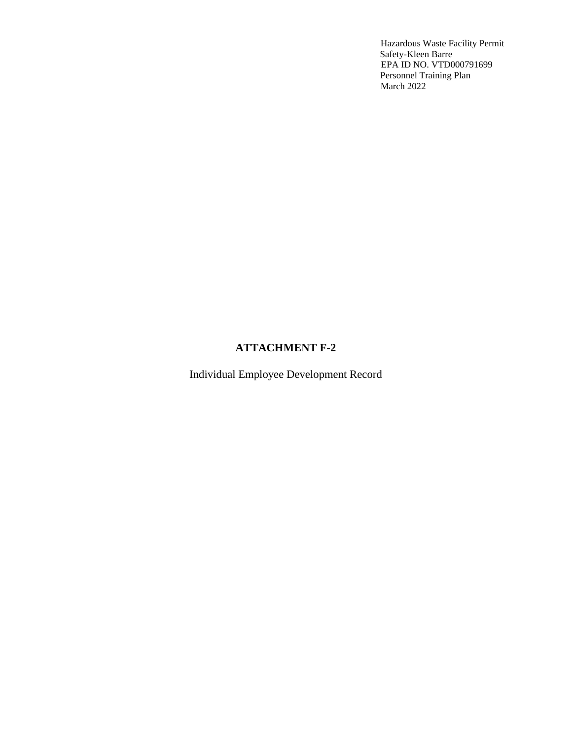## **ATTACHMENT F-2**

Individual Employee Development Record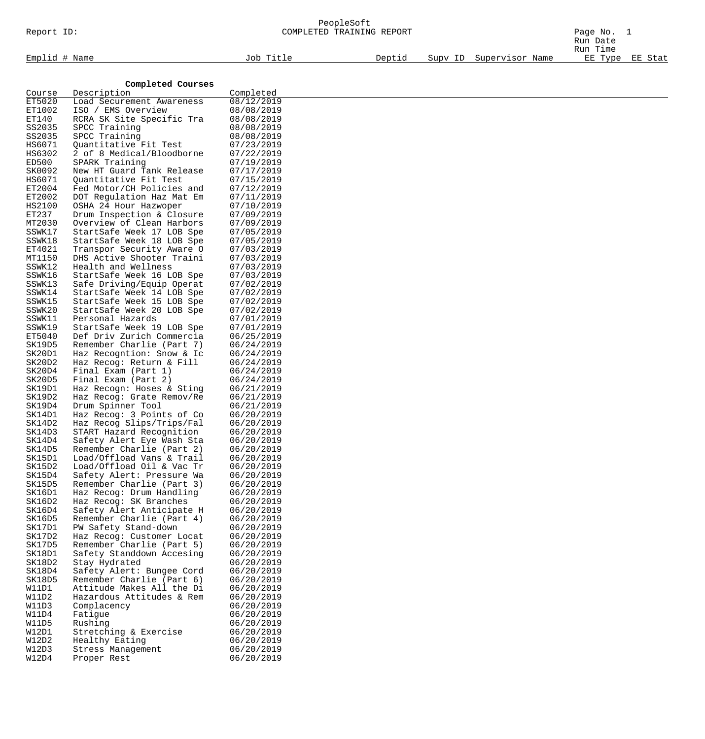# PeopleSoft

| Report ID:       |                                                        | COMPLETED TRAINING REPORT | Page No. 1<br>Run Date |                         |                     |         |
|------------------|--------------------------------------------------------|---------------------------|------------------------|-------------------------|---------------------|---------|
| Emplid # Name    |                                                        | Job Title                 | Deptid                 | Supv ID Supervisor Name | Run Time<br>EE Type | EE Stat |
|                  |                                                        |                           |                        |                         |                     |         |
|                  | Completed Courses                                      |                           |                        |                         |                     |         |
| Course           | Description                                            | Completed                 |                        |                         |                     |         |
| ET5020           | Load Securement Awareness                              | 08/12/2019                |                        |                         |                     |         |
| ET1002           | ISO / EMS Overview                                     | 08/08/2019                |                        |                         |                     |         |
| ET140            | RCRA SK Site Specific Tra                              | 08/08/2019                |                        |                         |                     |         |
| SS2035<br>SS2035 | SPCC Training<br>SPCC Training                         | 08/08/2019<br>08/08/2019  |                        |                         |                     |         |
| HS6071           | Quantitative Fit Test                                  | 07/23/2019                |                        |                         |                     |         |
| HS6302           | 2 of 8 Medical/Bloodborne                              | 07/22/2019                |                        |                         |                     |         |
| ED500            | SPARK Training                                         | 07/19/2019                |                        |                         |                     |         |
| SK0092           | New HT Guard Tank Release                              | 07/17/2019                |                        |                         |                     |         |
| HS6071           | Quantitative Fit Test                                  | 07/15/2019                |                        |                         |                     |         |
| ET2004           | Fed Motor/CH Policies and                              | 07/12/2019                |                        |                         |                     |         |
| ET2002           | DOT Regulation Haz Mat Em                              | 07/11/2019                |                        |                         |                     |         |
| HS2100<br>ET237  | OSHA 24 Hour Hazwoper<br>Drum Inspection & Closure     | 07/10/2019<br>07/09/2019  |                        |                         |                     |         |
| MT2030           | Overview of Clean Harbors                              | 07/09/2019                |                        |                         |                     |         |
| SSWK17           | StartSafe Week 17 LOB Spe                              | 07/05/2019                |                        |                         |                     |         |
| SSWK18           | StartSafe Week 18 LOB Spe                              | 07/05/2019                |                        |                         |                     |         |
| ET4021           | Transpor Security Aware O                              | 07/03/2019                |                        |                         |                     |         |
| MT1150           | DHS Active Shooter Traini                              | 07/03/2019                |                        |                         |                     |         |
| SSWK12           | Health and Wellness                                    | 07/03/2019                |                        |                         |                     |         |
| SSWK16           | StartSafe Week 16 LOB Spe                              | 07/03/2019                |                        |                         |                     |         |
| SSWK13           | Safe Driving/Equip Operat                              | 07/02/2019                |                        |                         |                     |         |
| SSWK14<br>SSWK15 | StartSafe Week 14 LOB Spe                              | 07/02/2019<br>07/02/2019  |                        |                         |                     |         |
| SSWK20           | StartSafe Week 15 LOB Spe<br>StartSafe Week 20 LOB Spe | 07/02/2019                |                        |                         |                     |         |
| SSWK11           | Personal Hazards                                       | 07/01/2019                |                        |                         |                     |         |
| SSWK19           | StartSafe Week 19 LOB Spe                              | 07/01/2019                |                        |                         |                     |         |
| ET5040           | Def Driv Zurich Commercia                              | 06/25/2019                |                        |                         |                     |         |
| SK19D5           | Remember Charlie (Part 7)                              | 06/24/2019                |                        |                         |                     |         |
| SK20D1           | Haz Recogntion: Snow & Ic                              | 06/24/2019                |                        |                         |                     |         |
| SK20D2           | Haz Recog: Return & Fill                               | 06/24/2019                |                        |                         |                     |         |
| SK20D4<br>SK20D5 | Final Exam (Part 1)<br>Final Exam (Part 2)             | 06/24/2019<br>06/24/2019  |                        |                         |                     |         |
| SK19D1           | Haz Recogn: Hoses & Sting                              | 06/21/2019                |                        |                         |                     |         |
| SK19D2           | Haz Recog: Grate Remov/Re                              | 06/21/2019                |                        |                         |                     |         |
| SK19D4           | Drum Spinner Tool                                      | 06/21/2019                |                        |                         |                     |         |
| SK14D1           | Haz Recog: 3 Points of Co                              | 06/20/2019                |                        |                         |                     |         |
| SK14D2           | Haz Recog Slips/Trips/Fal                              | 06/20/2019                |                        |                         |                     |         |
| SK14D3           | START Hazard Recognition                               | 06/20/2019                |                        |                         |                     |         |
| SK14D4           | Safety Alert Eye Wash Sta                              | 06/20/2019                |                        |                         |                     |         |
| SK14D5<br>SK15D1 | Remember Charlie (Part 2)<br>Load/Offload Vans & Trail | 06/20/2019<br>06/20/2019  |                        |                         |                     |         |
| SK15D2           | Load/Offload Oil & Vac Tr                              | 06/20/2019                |                        |                         |                     |         |
| SK15D4           | Safety Alert: Pressure Wa                              | 06/20/2019                |                        |                         |                     |         |
| SK15D5           | Remember Charlie (Part 3)                              | 06/20/2019                |                        |                         |                     |         |
| SK16D1           | Haz Recog: Drum Handling                               | 06/20/2019                |                        |                         |                     |         |
| SK16D2           | Haz Recog: SK Branches                                 | 06/20/2019                |                        |                         |                     |         |
| SK16D4           | Safety Alert Anticipate H                              | 06/20/2019                |                        |                         |                     |         |
| SK16D5<br>SK17D1 | Remember Charlie (Part 4)                              | 06/20/2019                |                        |                         |                     |         |
| SK17D2           | PW Safety Stand-down<br>Haz Recog: Customer Locat      | 06/20/2019<br>06/20/2019  |                        |                         |                     |         |
| SK17D5           | Remember Charlie (Part 5)                              | 06/20/2019                |                        |                         |                     |         |
| SK18D1           | Safety Standdown Accesing                              | 06/20/2019                |                        |                         |                     |         |
| SK18D2           | Stay Hydrated                                          | 06/20/2019                |                        |                         |                     |         |
| SK18D4           | Safety Alert: Bungee Cord                              | 06/20/2019                |                        |                         |                     |         |
| SK18D5           | Remember Charlie (Part 6)                              | 06/20/2019                |                        |                         |                     |         |
| W11D1            | Attitude Makes All the Di                              | 06/20/2019                |                        |                         |                     |         |
| W11D2<br>W11D3   | Hazardous Attitudes & Rem<br>Complacency               | 06/20/2019<br>06/20/2019  |                        |                         |                     |         |
| W11D4            | Fatigue                                                | 06/20/2019                |                        |                         |                     |         |
| W11D5            | Rushing                                                | 06/20/2019                |                        |                         |                     |         |
| W12D1            | Stretching & Exercise                                  | 06/20/2019                |                        |                         |                     |         |
| W12D2            | Healthy Eating                                         | 06/20/2019                |                        |                         |                     |         |
| W12D3            | Stress Management                                      | 06/20/2019                |                        |                         |                     |         |
| W12D4            | Proper Rest                                            | 06/20/2019                |                        |                         |                     |         |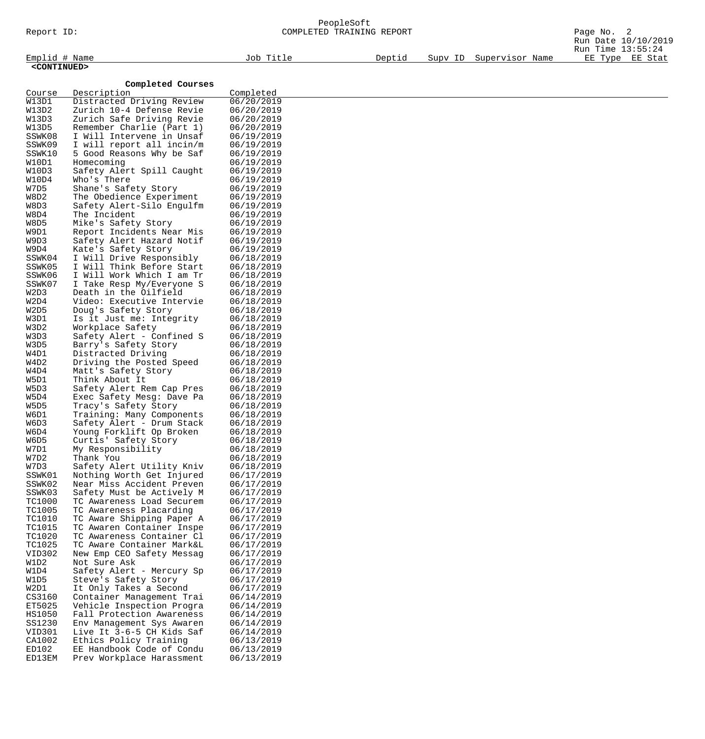| Report ID:              |                                                        | PeopleSoft<br>COMPLETED TRAINING REPORT |        |  |                         | Page No. 2<br>Run Date 10/10/2019    |  |
|-------------------------|--------------------------------------------------------|-----------------------------------------|--------|--|-------------------------|--------------------------------------|--|
| Emplid # Name           |                                                        | Job Title                               | Deptid |  | Supv ID Supervisor Name | Run Time 13:55:24<br>EE Type EE Stat |  |
| <continued></continued> |                                                        |                                         |        |  |                         |                                      |  |
|                         | Completed Courses                                      |                                         |        |  |                         |                                      |  |
| Course                  | Description                                            | Completed                               |        |  |                         |                                      |  |
| W13D1<br>W13D2          | Distracted Driving Review<br>Zurich 10-4 Defense Revie | 06/20/2019<br>06/20/2019                |        |  |                         |                                      |  |
| W13D3                   | Zurich Safe Driving Revie                              | 06/20/2019                              |        |  |                         |                                      |  |
| W13D5                   | Remember Charlie (Part 1)                              | 06/20/2019                              |        |  |                         |                                      |  |
| SSWK08                  | I Will Intervene in Unsaf                              | 06/19/2019                              |        |  |                         |                                      |  |
| SSWK09<br>SSWK10        | I will report all incin/m<br>5 Good Reasons Why be Saf | 06/19/2019<br>06/19/2019                |        |  |                         |                                      |  |
| W10D1                   | Homecoming                                             | 06/19/2019                              |        |  |                         |                                      |  |
| W10D3                   | Safety Alert Spill Caught                              | 06/19/2019                              |        |  |                         |                                      |  |
| W10D4                   | Who's There                                            | 06/19/2019                              |        |  |                         |                                      |  |
| W7D5                    | Shane's Safety Story                                   | 06/19/2019                              |        |  |                         |                                      |  |
| W8D2<br>W8D3            | The Obedience Experiment<br>Safety Alert-Silo Engulfm  | 06/19/2019<br>06/19/2019                |        |  |                         |                                      |  |
| W8D4                    | The Incident                                           | 06/19/2019                              |        |  |                         |                                      |  |
| W8D5                    | Mike's Safety Story                                    | 06/19/2019                              |        |  |                         |                                      |  |
| W9D1                    | Report Incidents Near Mis                              | 06/19/2019                              |        |  |                         |                                      |  |
| W9D3                    | Safety Alert Hazard Notif                              | 06/19/2019                              |        |  |                         |                                      |  |
| W9D4<br>SSWK04          | Kate's Safety Story<br>I Will Drive Responsibly        | 06/19/2019<br>06/18/2019                |        |  |                         |                                      |  |
| SSWK05                  | I Will Think Before Start                              | 06/18/2019                              |        |  |                         |                                      |  |
| SSWK06                  | I Will Work Which I am Tr                              | 06/18/2019                              |        |  |                         |                                      |  |
| SSWK07                  | I Take Resp My/Everyone S                              | 06/18/2019                              |        |  |                         |                                      |  |
| W2D3                    | Death in the Oilfield                                  | 06/18/2019                              |        |  |                         |                                      |  |
| W2D4<br>W2D5            | Video: Executive Intervie<br>Doug's Safety Story       | 06/18/2019<br>06/18/2019                |        |  |                         |                                      |  |
| W3D1                    | Is it Just me: Integrity                               | 06/18/2019                              |        |  |                         |                                      |  |
| W3D2                    | Workplace Safety                                       | 06/18/2019                              |        |  |                         |                                      |  |
| W3D3                    | Safety Alert - Confined S                              | 06/18/2019                              |        |  |                         |                                      |  |
| W3D5                    | Barry's Safety Story                                   | 06/18/2019                              |        |  |                         |                                      |  |
| W4D1<br>W4D2            | Distracted Driving<br>Driving the Posted Speed         | 06/18/2019<br>06/18/2019                |        |  |                         |                                      |  |
| W4D4                    | Matt's Safety Story                                    | 06/18/2019                              |        |  |                         |                                      |  |
| W5D1                    | Think About It                                         | 06/18/2019                              |        |  |                         |                                      |  |
| W5D3                    | Safety Alert Rem Cap Pres                              | 06/18/2019                              |        |  |                         |                                      |  |
| W5D4<br>W5D5            | Exec Safety Mesg: Dave Pa<br>Tracy's Safety Story      | 06/18/2019<br>06/18/2019                |        |  |                         |                                      |  |
| W6D1                    | Training: Many Components                              | 06/18/2019                              |        |  |                         |                                      |  |
| W6D3                    | Safety Alert - Drum Stack                              | 06/18/2019                              |        |  |                         |                                      |  |
| W6D4                    | Young Forklift Op Broken                               | 06/18/2019                              |        |  |                         |                                      |  |
| W6D5                    | Curtis' Safety Story                                   | 06/18/2019                              |        |  |                         |                                      |  |
| W7D1<br>W7D2            | My Responsibility<br>Thank You                         | 06/18/2019<br>06/18/2019                |        |  |                         |                                      |  |
| W7D3                    | Safety Alert Utility Kniv                              | 06/18/2019                              |        |  |                         |                                      |  |
| SSWK01                  | Nothing Worth Get Injured                              | 06/17/2019                              |        |  |                         |                                      |  |
| SSWK02                  | Near Miss Accident Preven                              | 06/17/2019                              |        |  |                         |                                      |  |
| SSWK03<br><b>TC1000</b> | Safety Must be Actively M<br>TC Awareness Load Securem | 06/17/2019<br>06/17/2019                |        |  |                         |                                      |  |
| TC1005                  | TC Awareness Placarding                                | 06/17/2019                              |        |  |                         |                                      |  |
| TC1010                  | TC Aware Shipping Paper A                              | 06/17/2019                              |        |  |                         |                                      |  |
| TC1015                  | TC Awaren Container Inspe                              | 06/17/2019                              |        |  |                         |                                      |  |
| TC1020                  | TC Awareness Container Cl                              | 06/17/2019                              |        |  |                         |                                      |  |
| TC1025<br><b>VID302</b> | TC Aware Container Mark&L<br>New Emp CEO Safety Messag | 06/17/2019<br>06/17/2019                |        |  |                         |                                      |  |
| W1D2                    | Not Sure Ask                                           | 06/17/2019                              |        |  |                         |                                      |  |
| W1D4                    | Safety Alert - Mercury Sp                              | 06/17/2019                              |        |  |                         |                                      |  |
| W1D5                    | Steve's Safety Story                                   | 06/17/2019                              |        |  |                         |                                      |  |
| W2D1                    | It Only Takes a Second                                 | 06/17/2019                              |        |  |                         |                                      |  |
| CS3160                  | Container Management Trai                              | 06/14/2019<br>06/14/2019                |        |  |                         |                                      |  |
| ET5025<br>HS1050        | Vehicle Inspection Progra<br>Fall Protection Awareness | 06/14/2019                              |        |  |                         |                                      |  |
| SS1230                  | Env Management Sys Awaren                              | 06/14/2019                              |        |  |                         |                                      |  |
| VID301                  | Live It 3-6-5 CH Kids Saf                              | 06/14/2019                              |        |  |                         |                                      |  |
| CA1002                  | Ethics Policy Training                                 | 06/13/2019                              |        |  |                         |                                      |  |

ED102 EE Handbook Code of Condu 06/13/2019 ED13EM Prev Workplace Harassment 06/13/2019